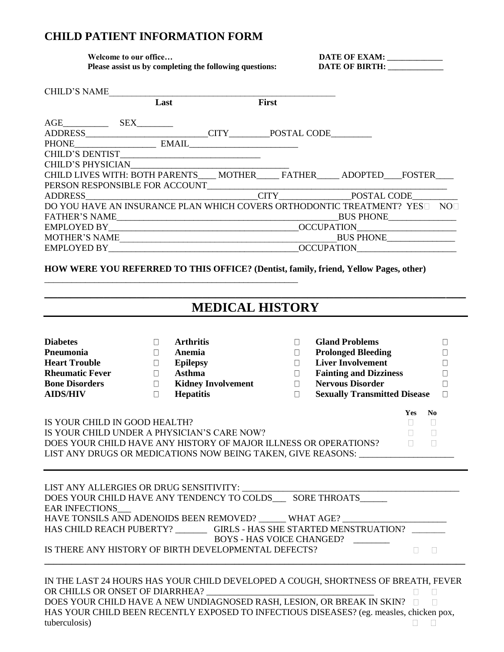## **CHILD PATIENT INFORMATION FORM**

 **Welcome to our office… DATE OF EXAM: \_\_\_\_\_\_\_\_\_\_\_\_\_\_\_ Please assist us by completing the following questions:** 

| CHILD'S NAME                                            |        |                                                                                                                                                                         |                           |                               |                                     |                                                        |  |
|---------------------------------------------------------|--------|-------------------------------------------------------------------------------------------------------------------------------------------------------------------------|---------------------------|-------------------------------|-------------------------------------|--------------------------------------------------------|--|
|                                                         | Last   |                                                                                                                                                                         | First                     |                               |                                     |                                                        |  |
|                                                         |        |                                                                                                                                                                         |                           |                               |                                     |                                                        |  |
|                                                         |        |                                                                                                                                                                         |                           |                               |                                     |                                                        |  |
|                                                         |        |                                                                                                                                                                         |                           |                               |                                     |                                                        |  |
|                                                         |        |                                                                                                                                                                         |                           |                               |                                     |                                                        |  |
| CHILD'S PHYSICIAN                                       |        |                                                                                                                                                                         |                           |                               |                                     |                                                        |  |
|                                                         |        | CHILD LIVES WITH: BOTH PARENTS____ MOTHER_____ FATHER_____ ADOPTED____FOSTER____                                                                                        |                           |                               |                                     |                                                        |  |
|                                                         |        |                                                                                                                                                                         |                           |                               |                                     |                                                        |  |
|                                                         |        |                                                                                                                                                                         |                           |                               |                                     |                                                        |  |
|                                                         |        | DO YOU HAVE AN INSURANCE PLAN WHICH COVERS ORTHODONTIC TREATMENT? YES NO                                                                                                |                           |                               |                                     |                                                        |  |
|                                                         |        |                                                                                                                                                                         |                           |                               |                                     |                                                        |  |
|                                                         |        |                                                                                                                                                                         |                           |                               |                                     |                                                        |  |
|                                                         |        |                                                                                                                                                                         |                           |                               |                                     |                                                        |  |
|                                                         |        |                                                                                                                                                                         |                           |                               |                                     |                                                        |  |
|                                                         |        | <b>MEDICAL HISTORY</b>                                                                                                                                                  |                           |                               |                                     |                                                        |  |
|                                                         |        |                                                                                                                                                                         |                           |                               |                                     |                                                        |  |
| <b>Diabetes</b>                                         | $\Box$ | <b>Arthritis</b>                                                                                                                                                        | $\Box$                    | <b>Gland Problems</b>         |                                     | $\Box$                                                 |  |
| Pneumonia                                               | $\Box$ | Anemia                                                                                                                                                                  | $\Box$                    |                               | <b>Prolonged Bleeding</b>           | П                                                      |  |
| <b>Heart Trouble</b>                                    | $\Box$ | <b>Epilepsy</b>                                                                                                                                                         | $\Box$                    | <b>Liver Involvement</b>      |                                     | $\Box$                                                 |  |
|                                                         | $\Box$ | Asthma                                                                                                                                                                  | $\Box$                    | <b>Fainting and Dizziness</b> |                                     | $\Box$                                                 |  |
| <b>Rheumatic Fever<br/>Bone Disorders<br/>Disorders</b> | $\Box$ | <b>Kidney Involvement</b>                                                                                                                                               | $\Box$                    | <b>Nervous Disorder</b>       |                                     | П                                                      |  |
| <b>AIDS/HIV</b>                                         | $\Box$ | <b>Hepatitis</b>                                                                                                                                                        | $\Box$                    |                               | <b>Sexually Transmitted Disease</b> | $\Box$                                                 |  |
| IS YOUR CHILD IN GOOD HEALTH?                           |        |                                                                                                                                                                         |                           |                               |                                     | <b>Yes</b><br>N <sub>0</sub><br>$\Box$<br>$\mathbf{L}$ |  |
|                                                         |        | IS YOUR CHILD UNDER A PHYSICIAN'S CARE NOW?                                                                                                                             |                           |                               |                                     | $\Box$                                                 |  |
|                                                         |        | DOES YOUR CHILD HAVE ANY HISTORY OF MAJOR ILLNESS OR OPERATIONS?                                                                                                        |                           |                               |                                     | $\Box$<br>$\Box$                                       |  |
|                                                         |        | LIST ANY DRUGS OR MEDICATIONS NOW BEING TAKEN, GIVE REASONS: ___________________                                                                                        |                           |                               |                                     |                                                        |  |
|                                                         |        |                                                                                                                                                                         |                           |                               |                                     |                                                        |  |
|                                                         |        |                                                                                                                                                                         |                           |                               |                                     |                                                        |  |
|                                                         |        |                                                                                                                                                                         |                           |                               |                                     |                                                        |  |
| <b>EAR INFECTIONS</b>                                   |        |                                                                                                                                                                         |                           |                               |                                     |                                                        |  |
|                                                         |        |                                                                                                                                                                         |                           |                               |                                     |                                                        |  |
|                                                         |        | HAVE TONSILS AND ADENOIDS BEEN REMOVED? ______ WHAT AGE? ________________________<br>HAS CHILD REACH PUBERTY? ___________ GIRLS - HAS SHE STARTED MENSTRUATION? _______ |                           |                               |                                     |                                                        |  |
|                                                         |        |                                                                                                                                                                         | BOYS - HAS VOICE CHANGED? |                               |                                     |                                                        |  |
|                                                         |        | IS THERE ANY HISTORY OF BIRTH DEVELOPMENTAL DEFECTS?                                                                                                                    |                           |                               |                                     | $\Box$<br>$\mathbb{R}^n$                               |  |
|                                                         |        |                                                                                                                                                                         |                           |                               |                                     |                                                        |  |

IN THE LAST 24 HOURS HAS YOUR CHILD DEVELOPED A COUGH, SHORTNESS OF BREATH, FEVER OR CHILLS OR ONSET OF DIARRHEA?  $\begin{array}{ccc} \square & \square & \end{array}$ DOES YOUR CHILD HAVE A NEW UNDIAGNOSED RASH, LESION, OR BREAK IN SKIN? HAS YOUR CHILD BEEN RECENTLY EXPOSED TO INFECTIOUS DISEASES? (eg. measles, chicken pox, tuberculosis)  $\Box$   $\Box$